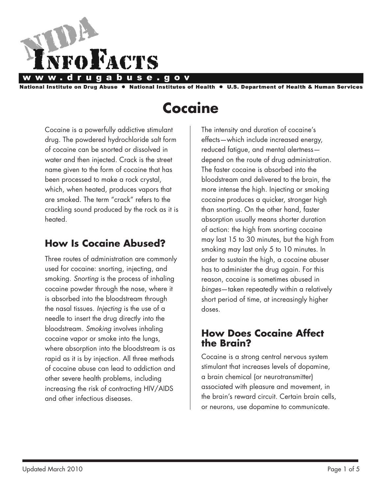

National Institute on Drug Abuse ● National Institutes of Health ● U.S. Department of Health & Human Services

# **Cocaine**

Cocaine is a powerfully addictive stimulant drug. The powdered hydrochloride salt form of cocaine can be snorted or dissolved in water and then injected. Crack is the street name given to the form of cocaine that has been processed to make a rock crystal, which, when heated, produces vapors that are smoked. The term "crack" refers to the crackling sound produced by the rock as it is heated.

# **How Is Cocaine Abused?**

Three routes of administration are commonly used for cocaine: snorting, injecting, and smoking. *Snorting* is the process of inhaling cocaine powder through the nose, where it is absorbed into the bloodstream through the nasal tissues. *Injecting* is the use of a needle to insert the drug directly into the bloodstream. *Smoking* involves inhaling cocaine vapor or smoke into the lungs, where absorption into the bloodstream is as rapid as it is by injection. All three methods of cocaine abuse can lead to addiction and other severe health problems, including increasing the risk of contracting HIV/AIDS and other infectious diseases.

The intensity and duration of cocaine's effects—which include increased energy, reduced fatigue, and mental alertness depend on the route of drug administration. The faster cocaine is absorbed into the bloodstream and delivered to the brain, the more intense the high. Injecting or smoking cocaine produces a quicker, stronger high than snorting. On the other hand, faster absorption usually means shorter duration of action: the high from snorting cocaine may last 15 to 30 minutes, but the high from smoking may last only 5 to 10 minutes. In order to sustain the high, a cocaine abuser has to administer the drug again. For this reason, cocaine is sometimes abused in *binges*—taken repeatedly within a relatively short period of time, at increasingly higher doses.

## **How Does Cocaine Affect the Brain?**

Cocaine is a strong central nervous system stimulant that increases levels of dopamine, a brain chemical (or neurotransmitter) associated with pleasure and movement, in the brain's reward circuit. Certain brain cells, or neurons, use dopamine to communicate.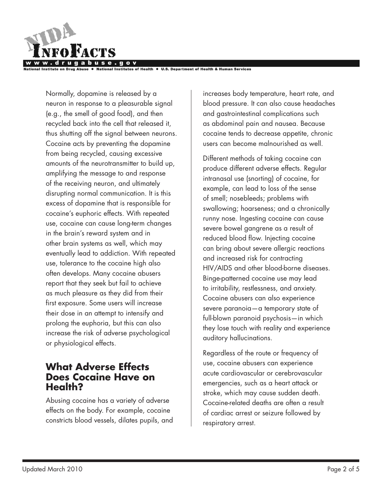

itutes of Health ● U.S. Department of Health & Human Services

Normally, dopamine is released by a neuron in response to a pleasurable signal (e.g., the smell of good food), and then recycled back into the cell that released it, thus shutting off the signal between neurons. Cocaine acts by preventing the dopamine from being recycled, causing excessive amounts of the neurotransmitter to build up, amplifying the message to and response of the receiving neuron, and ultimately disrupting normal communication. It is this excess of dopamine that is responsible for cocaine's euphoric effects. With repeated use, cocaine can cause long-term changes in the brain's reward system and in other brain systems as well, which may eventually lead to addiction. With repeated use, tolerance to the cocaine high also often develops. Many cocaine abusers report that they seek but fail to achieve as much pleasure as they did from their first exposure. Some users will increase their dose in an attempt to intensify and prolong the euphoria, but this can also increase the risk of adverse psychological or physiological effects.

## **What Adverse Effects Does Cocaine Have on Health?**

Abusing cocaine has a variety of adverse effects on the body. For example, cocaine constricts blood vessels, dilates pupils, and

increases body temperature, heart rate, and blood pressure. It can also cause headaches and gastrointestinal complications such as abdominal pain and nausea. Because cocaine tends to decrease appetite, chronic users can become malnourished as well.

Different methods of taking cocaine can produce different adverse effects. Regular intranasal use (snorting) of cocaine, for example, can lead to loss of the sense of smell; nosebleeds; problems with swallowing; hoarseness; and a chronically runny nose. Ingesting cocaine can cause severe bowel gangrene as a result of reduced blood flow. Injecting cocaine can bring about severe allergic reactions and increased risk for contracting HIV/AIDS and other blood-borne diseases. Binge-patterned cocaine use may lead to irritability, restlessness, and anxiety. Cocaine abusers can also experience severe paranoia—a temporary state of full-blown paranoid psychosis—in which they lose touch with reality and experience auditory hallucinations.

Regardless of the route or frequency of use, cocaine abusers can experience acute cardiovascular or cerebrovascular emergencies, such as a heart attack or stroke, which may cause sudden death. Cocaine-related deaths are often a result of cardiac arrest or seizure followed by respiratory arrest.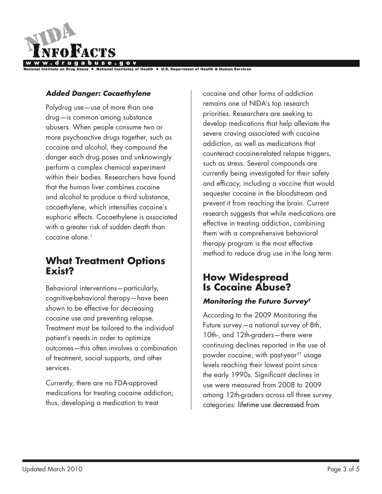

• National Institutes of Health • U.S. Department of Health & Human Services

## *Added Danger: Cocaethylene*

Polydrug use—use of more than one drug—is common among substance abusers. When people consume two or more psychoactive drugs together, such as cocaine and alcohol, they compound the danger each drug poses and unknowingly perform a complex chemical experiment within their bodies. Researchers have found that the human liver combines cocaine and alcohol to produce a third substance, cocaethylene, which intensifies cocaine's euphoric effects. Cocaethylene is associated with a greater risk of sudden death than cocaine alone.<sup>1</sup>

## **What Treatment Options Exist?**

Behavioral interventions—particularly, cognitive-behavioral therapy—have been shown to be effective for decreasing cocaine use and preventing relapse. Treatment must be tailored to the individual patient's needs in order to optimize outcomes—this often involves a combination of treatment, social supports, and other services.

Currently, there are no FDA-approved medications for treating cocaine addiction; thus, developing a medication to treat

cocaine and other forms of addiction remains one of NIDA's top research priorities. Researchers are seeking to develop medications that help alleviate the severe craving associated with cocaine addiction, as well as medications that counteract cocaine-related relapse triggers, such as stress. Several compounds are currently being investigated for their safety and efficacy, including a vaccine that would sequester cocaine in the bloodstream and prevent it from reaching the brain. Current research suggests that while medications are effective in treating addiction, combining them with a comprehensive behavioral therapy program is the most effective method to reduce drug use in the long term.

# **How Widespread Is Cocaine Abuse?**

### *Monitoring the Future Survey†*

According to the 2009 Monitoring the Future survey—a national survey of 8th, 10th-, and 12th-graders—there were continuing declines reported in the use of powder cocaine, with past-year†† usage levels reaching their lowest point since the early 1990s. Significant declines in use were measured from 2008 to 2009 among 12th-graders across all three survey categories: lifetime use decreased from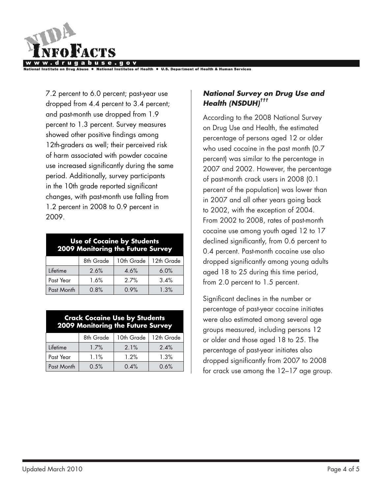

ational Institute on Drug Abuse National Institutes of Health . U.S. Department of Health & Human Services

7.2 percent to 6.0 percent; past-year use dropped from 4.4 percent to 3.4 percent; and past-month use dropped from 1.9 percent to 1.3 percent. Survey measures showed other positive findings among 12th-graders as well; their perceived risk of harm associated with powder cocaine use increased significantly during the same period. Additionally, survey participants in the 10th grade reported significant changes, with past-month use falling from 1.2 percent in 2008 to 0.9 percent in 2009.

| <b>Use of Cocaine by Students</b><br>2009 Monitoring the Future Survey |           |                         |      |  |
|------------------------------------------------------------------------|-----------|-------------------------|------|--|
|                                                                        | 8th Grade | 10th Grade   12th Grade |      |  |
| Lifetime                                                               | 2.6%      | 4.6%                    | 6.0% |  |
| Past Year                                                              | 1.6%      | 2.7%                    | 3.4% |  |

Past Month 0.8% 0.9% 1.3%

| <b>Crack Cocaine Use by Students</b><br>2009 Monitoring the Future Survey |           |            |            |  |
|---------------------------------------------------------------------------|-----------|------------|------------|--|
|                                                                           | 8th Grade | 10th Grade | 12th Grade |  |
| Lifetime                                                                  | 1.7%      | 2.1%       | 2.4%       |  |
| Past Year                                                                 | 1.1%      | 1.2%       | 1.3%       |  |
| Past Month                                                                | 0.5%      | 0.4%       | 0.6%       |  |

## *National Survey on Drug Use and Health (NSDUH)†††*

According to the 2008 National Survey on Drug Use and Health, the estimated percentage of persons aged 12 or older who used cocaine in the past month (0.7) percent) was similar to the percentage in 2007 and 2002. However, the percentage of past-month crack users in 2008 (0.1 percent of the population) was lower than in 2007 and all other years going back to 2002, with the exception of 2004. From 2002 to 2008, rates of past-month cocaine use among youth aged 12 to 17 declined significantly, from 0.6 percent to 0.4 percent. Past-month cocaine use also dropped significantly among young adults aged 18 to 25 during this time period, from 2.0 percent to 1.5 percent.

Significant declines in the number or percentage of past-year cocaine initiates were also estimated among several age groups measured, including persons 12 or older and those aged 18 to 25. The percentage of past-year initiates also dropped significantly from 2007 to 2008 for crack use among the 12–17 age group.